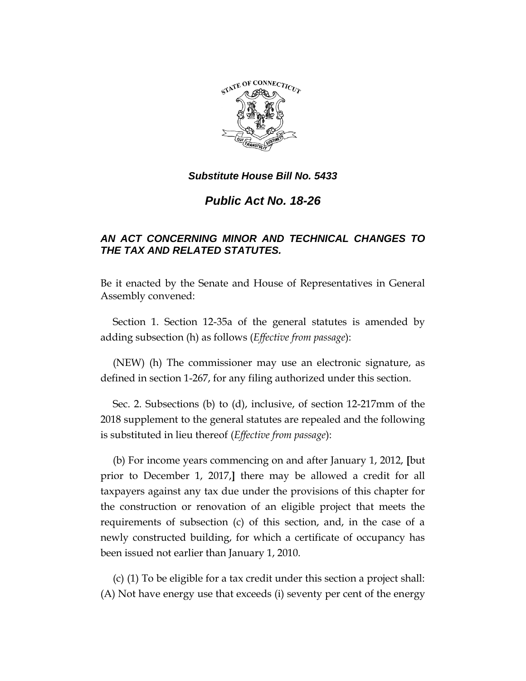

# *Public Act No. 18-26*

# *AN ACT CONCERNING MINOR AND TECHNICAL CHANGES TO THE TAX AND RELATED STATUTES.*

Be it enacted by the Senate and House of Representatives in General Assembly convened:

Section 1. Section 12-35a of the general statutes is amended by adding subsection (h) as follows (*Effective from passage*):

(NEW) (h) The commissioner may use an electronic signature, as defined in section 1-267, for any filing authorized under this section.

Sec. 2. Subsections (b) to (d), inclusive, of section 12-217mm of the 2018 supplement to the general statutes are repealed and the following is substituted in lieu thereof (*Effective from passage*):

(b) For income years commencing on and after January 1, 2012, **[**but prior to December 1, 2017,**]** there may be allowed a credit for all taxpayers against any tax due under the provisions of this chapter for the construction or renovation of an eligible project that meets the requirements of subsection (c) of this section, and, in the case of a newly constructed building, for which a certificate of occupancy has been issued not earlier than January 1, 2010.

(c) (1) To be eligible for a tax credit under this section a project shall: (A) Not have energy use that exceeds (i) seventy per cent of the energy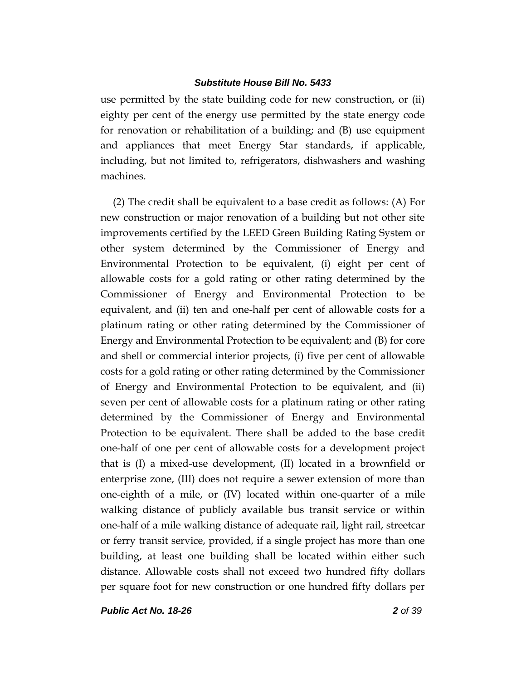use permitted by the state building code for new construction, or (ii) eighty per cent of the energy use permitted by the state energy code for renovation or rehabilitation of a building; and (B) use equipment and appliances that meet Energy Star standards, if applicable, including, but not limited to, refrigerators, dishwashers and washing machines.

(2) The credit shall be equivalent to a base credit as follows: (A) For new construction or major renovation of a building but not other site improvements certified by the LEED Green Building Rating System or other system determined by the Commissioner of Energy and Environmental Protection to be equivalent, (i) eight per cent of allowable costs for a gold rating or other rating determined by the Commissioner of Energy and Environmental Protection to be equivalent, and (ii) ten and one-half per cent of allowable costs for a platinum rating or other rating determined by the Commissioner of Energy and Environmental Protection to be equivalent; and (B) for core and shell or commercial interior projects, (i) five per cent of allowable costs for a gold rating or other rating determined by the Commissioner of Energy and Environmental Protection to be equivalent, and (ii) seven per cent of allowable costs for a platinum rating or other rating determined by the Commissioner of Energy and Environmental Protection to be equivalent. There shall be added to the base credit one-half of one per cent of allowable costs for a development project that is (I) a mixed-use development, (II) located in a brownfield or enterprise zone, (III) does not require a sewer extension of more than one-eighth of a mile, or (IV) located within one-quarter of a mile walking distance of publicly available bus transit service or within one-half of a mile walking distance of adequate rail, light rail, streetcar or ferry transit service, provided, if a single project has more than one building, at least one building shall be located within either such distance. Allowable costs shall not exceed two hundred fifty dollars per square foot for new construction or one hundred fifty dollars per

*Public Act No. 18-26 2 of 39*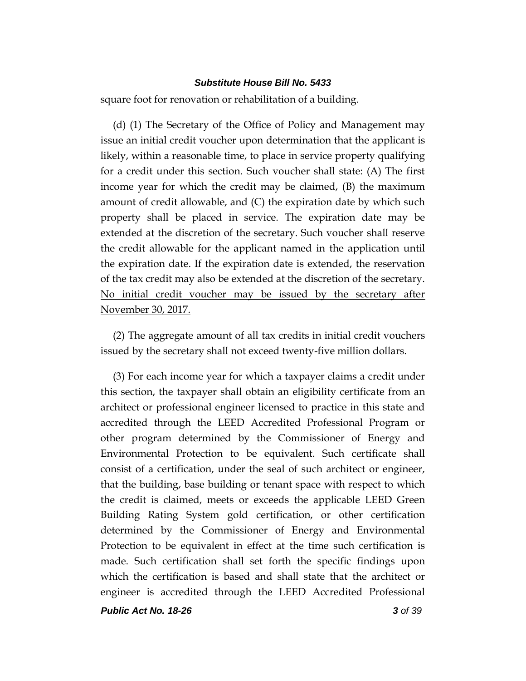square foot for renovation or rehabilitation of a building.

(d) (1) The Secretary of the Office of Policy and Management may issue an initial credit voucher upon determination that the applicant is likely, within a reasonable time, to place in service property qualifying for a credit under this section. Such voucher shall state: (A) The first income year for which the credit may be claimed, (B) the maximum amount of credit allowable, and (C) the expiration date by which such property shall be placed in service. The expiration date may be extended at the discretion of the secretary. Such voucher shall reserve the credit allowable for the applicant named in the application until the expiration date. If the expiration date is extended, the reservation of the tax credit may also be extended at the discretion of the secretary. No initial credit voucher may be issued by the secretary after November 30, 2017.

(2) The aggregate amount of all tax credits in initial credit vouchers issued by the secretary shall not exceed twenty-five million dollars.

(3) For each income year for which a taxpayer claims a credit under this section, the taxpayer shall obtain an eligibility certificate from an architect or professional engineer licensed to practice in this state and accredited through the LEED Accredited Professional Program or other program determined by the Commissioner of Energy and Environmental Protection to be equivalent. Such certificate shall consist of a certification, under the seal of such architect or engineer, that the building, base building or tenant space with respect to which the credit is claimed, meets or exceeds the applicable LEED Green Building Rating System gold certification, or other certification determined by the Commissioner of Energy and Environmental Protection to be equivalent in effect at the time such certification is made. Such certification shall set forth the specific findings upon which the certification is based and shall state that the architect or engineer is accredited through the LEED Accredited Professional

*Public Act No. 18-26 3 of 39*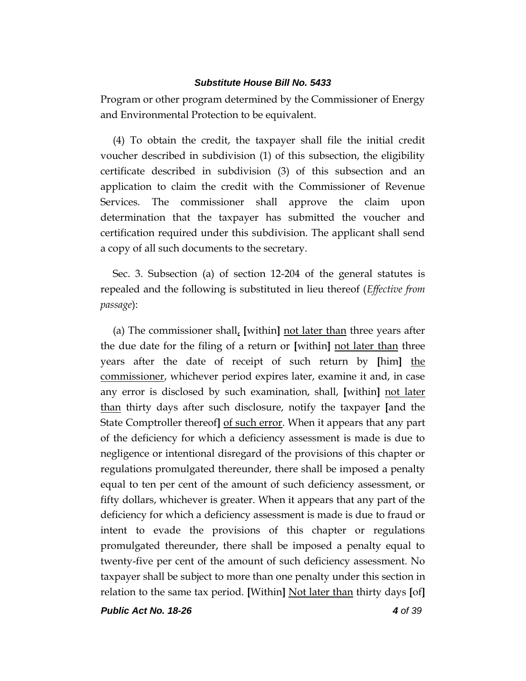Program or other program determined by the Commissioner of Energy and Environmental Protection to be equivalent.

(4) To obtain the credit, the taxpayer shall file the initial credit voucher described in subdivision (1) of this subsection, the eligibility certificate described in subdivision (3) of this subsection and an application to claim the credit with the Commissioner of Revenue Services. The commissioner shall approve the claim upon determination that the taxpayer has submitted the voucher and certification required under this subdivision. The applicant shall send a copy of all such documents to the secretary.

Sec. 3. Subsection (a) of section 12-204 of the general statutes is repealed and the following is substituted in lieu thereof (*Effective from passage*):

(a) The commissioner shall, **[**within**]** not later than three years after the due date for the filing of a return or **[**within**]** not later than three years after the date of receipt of such return by **[**him**]** the commissioner, whichever period expires later, examine it and, in case any error is disclosed by such examination, shall, **[**within**]** not later than thirty days after such disclosure, notify the taxpayer **[**and the State Comptroller thereof**]** of such error. When it appears that any part of the deficiency for which a deficiency assessment is made is due to negligence or intentional disregard of the provisions of this chapter or regulations promulgated thereunder, there shall be imposed a penalty equal to ten per cent of the amount of such deficiency assessment, or fifty dollars, whichever is greater. When it appears that any part of the deficiency for which a deficiency assessment is made is due to fraud or intent to evade the provisions of this chapter or regulations promulgated thereunder, there shall be imposed a penalty equal to twenty-five per cent of the amount of such deficiency assessment. No taxpayer shall be subject to more than one penalty under this section in relation to the same tax period. **[**Within**]** Not later than thirty days **[**of**]**

*Public Act No. 18-26 4 of 39*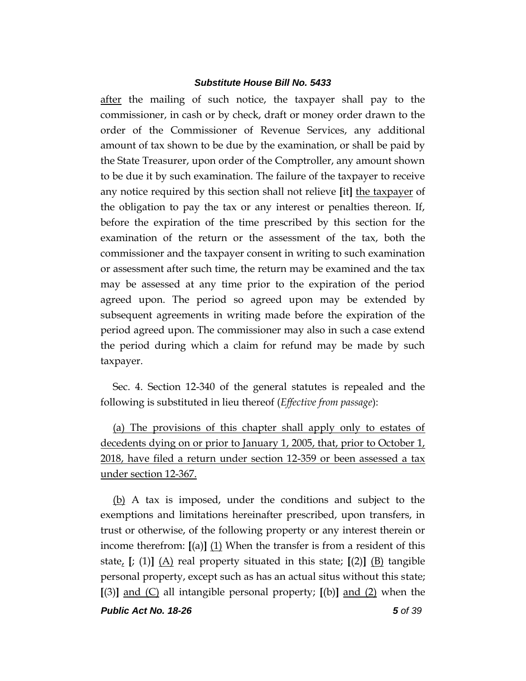after the mailing of such notice, the taxpayer shall pay to the commissioner, in cash or by check, draft or money order drawn to the order of the Commissioner of Revenue Services, any additional amount of tax shown to be due by the examination, or shall be paid by the State Treasurer, upon order of the Comptroller, any amount shown to be due it by such examination. The failure of the taxpayer to receive any notice required by this section shall not relieve **[**it**]** the taxpayer of the obligation to pay the tax or any interest or penalties thereon. If, before the expiration of the time prescribed by this section for the examination of the return or the assessment of the tax, both the commissioner and the taxpayer consent in writing to such examination or assessment after such time, the return may be examined and the tax may be assessed at any time prior to the expiration of the period agreed upon. The period so agreed upon may be extended by subsequent agreements in writing made before the expiration of the period agreed upon. The commissioner may also in such a case extend the period during which a claim for refund may be made by such taxpayer.

Sec. 4. Section 12-340 of the general statutes is repealed and the following is substituted in lieu thereof (*Effective from passage*):

(a) The provisions of this chapter shall apply only to estates of decedents dying on or prior to January 1, 2005, that, prior to October 1, 2018, have filed a return under section 12-359 or been assessed a tax under section 12-367.

*Public Act No. 18-26 5 of 39* (b) A tax is imposed, under the conditions and subject to the exemptions and limitations hereinafter prescribed, upon transfers, in trust or otherwise, of the following property or any interest therein or income therefrom: **[**(a)**]** (1) When the transfer is from a resident of this state,  $\left[\right; (1) \right]$  (A) real property situated in this state;  $\left[\right(2) \right]$  (B) tangible personal property, except such as has an actual situs without this state; **[**(3)**]** and (C) all intangible personal property; **[**(b)**]** and (2) when the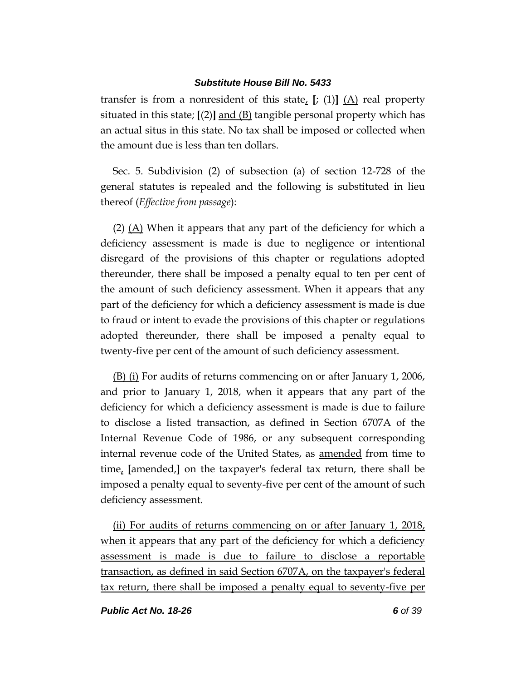transfer is from a nonresident of this state, **[**; (1)**]** (A) real property situated in this state; **[**(2)**]** and (B) tangible personal property which has an actual situs in this state. No tax shall be imposed or collected when the amount due is less than ten dollars.

Sec. 5. Subdivision (2) of subsection (a) of section 12-728 of the general statutes is repealed and the following is substituted in lieu thereof (*Effective from passage*):

(2) (A) When it appears that any part of the deficiency for which a deficiency assessment is made is due to negligence or intentional disregard of the provisions of this chapter or regulations adopted thereunder, there shall be imposed a penalty equal to ten per cent of the amount of such deficiency assessment. When it appears that any part of the deficiency for which a deficiency assessment is made is due to fraud or intent to evade the provisions of this chapter or regulations adopted thereunder, there shall be imposed a penalty equal to twenty-five per cent of the amount of such deficiency assessment.

(B) (i) For audits of returns commencing on or after January 1, 2006, and prior to January 1, 2018, when it appears that any part of the deficiency for which a deficiency assessment is made is due to failure to disclose a listed transaction, as defined in Section 6707A of the Internal Revenue Code of 1986, or any subsequent corresponding internal revenue code of the United States, as amended from time to time, **[**amended,**]** on the taxpayer's federal tax return, there shall be imposed a penalty equal to seventy-five per cent of the amount of such deficiency assessment.

(ii) For audits of returns commencing on or after January 1, 2018, when it appears that any part of the deficiency for which a deficiency assessment is made is due to failure to disclose a reportable transaction, as defined in said Section 6707A, on the taxpayer's federal tax return, there shall be imposed a penalty equal to seventy-five per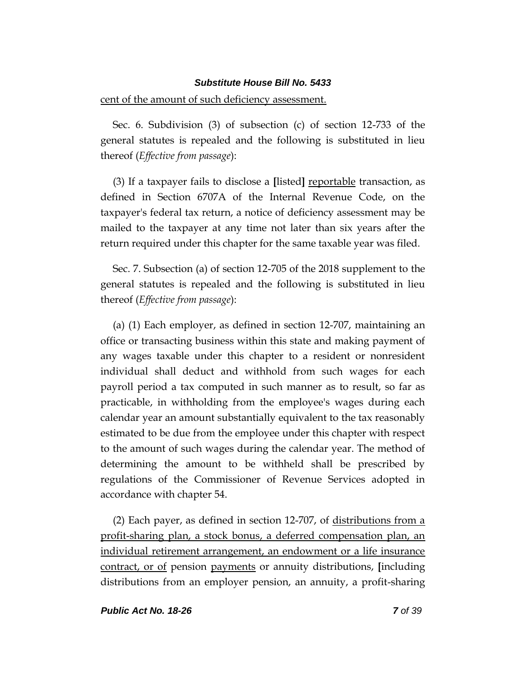#### cent of the amount of such deficiency assessment.

Sec. 6. Subdivision (3) of subsection (c) of section 12-733 of the general statutes is repealed and the following is substituted in lieu thereof (*Effective from passage*):

(3) If a taxpayer fails to disclose a **[**listed**]** reportable transaction, as defined in Section 6707A of the Internal Revenue Code, on the taxpayer's federal tax return, a notice of deficiency assessment may be mailed to the taxpayer at any time not later than six years after the return required under this chapter for the same taxable year was filed.

Sec. 7. Subsection (a) of section 12-705 of the 2018 supplement to the general statutes is repealed and the following is substituted in lieu thereof (*Effective from passage*):

(a) (1) Each employer, as defined in section 12-707, maintaining an office or transacting business within this state and making payment of any wages taxable under this chapter to a resident or nonresident individual shall deduct and withhold from such wages for each payroll period a tax computed in such manner as to result, so far as practicable, in withholding from the employee's wages during each calendar year an amount substantially equivalent to the tax reasonably estimated to be due from the employee under this chapter with respect to the amount of such wages during the calendar year. The method of determining the amount to be withheld shall be prescribed by regulations of the Commissioner of Revenue Services adopted in accordance with chapter 54.

(2) Each payer, as defined in section 12-707, of distributions from a profit-sharing plan, a stock bonus, a deferred compensation plan, an individual retirement arrangement, an endowment or a life insurance contract, or of pension payments or annuity distributions, **[**including distributions from an employer pension, an annuity, a profit-sharing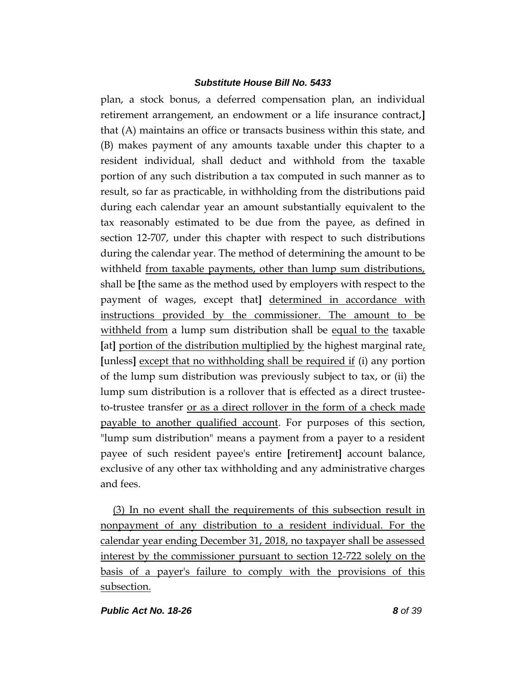plan, a stock bonus, a deferred compensation plan, an individual retirement arrangement, an endowment or a life insurance contract,**]** that (A) maintains an office or transacts business within this state, and (B) makes payment of any amounts taxable under this chapter to a resident individual, shall deduct and withhold from the taxable portion of any such distribution a tax computed in such manner as to result, so far as practicable, in withholding from the distributions paid during each calendar year an amount substantially equivalent to the tax reasonably estimated to be due from the payee, as defined in section 12-707, under this chapter with respect to such distributions during the calendar year. The method of determining the amount to be withheld from taxable payments, other than lump sum distributions, shall be **[**the same as the method used by employers with respect to the payment of wages, except that**]** determined in accordance with instructions provided by the commissioner. The amount to be withheld from a lump sum distribution shall be equal to the taxable **[**at**]** portion of the distribution multiplied by the highest marginal rate, **[**unless**]** except that no withholding shall be required if (i) any portion of the lump sum distribution was previously subject to tax, or (ii) the lump sum distribution is a rollover that is effected as a direct trusteeto-trustee transfer or as a direct rollover in the form of a check made payable to another qualified account. For purposes of this section, "lump sum distribution" means a payment from a payer to a resident payee of such resident payee's entire **[**retirement**]** account balance, exclusive of any other tax withholding and any administrative charges and fees.

(3) In no event shall the requirements of this subsection result in nonpayment of any distribution to a resident individual. For the calendar year ending December 31, 2018, no taxpayer shall be assessed interest by the commissioner pursuant to section 12-722 solely on the basis of a payer's failure to comply with the provisions of this subsection.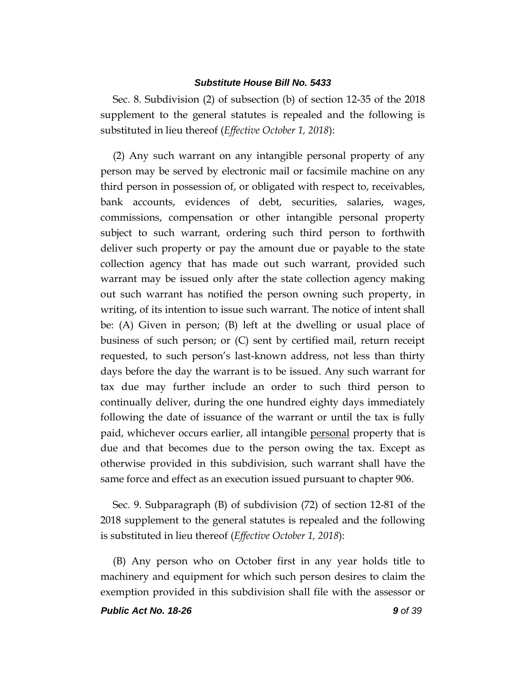Sec. 8. Subdivision (2) of subsection (b) of section 12-35 of the 2018 supplement to the general statutes is repealed and the following is substituted in lieu thereof (*Effective October 1, 2018*):

(2) Any such warrant on any intangible personal property of any person may be served by electronic mail or facsimile machine on any third person in possession of, or obligated with respect to, receivables, bank accounts, evidences of debt, securities, salaries, wages, commissions, compensation or other intangible personal property subject to such warrant, ordering such third person to forthwith deliver such property or pay the amount due or payable to the state collection agency that has made out such warrant, provided such warrant may be issued only after the state collection agency making out such warrant has notified the person owning such property, in writing, of its intention to issue such warrant. The notice of intent shall be: (A) Given in person; (B) left at the dwelling or usual place of business of such person; or (C) sent by certified mail, return receipt requested, to such person's last-known address, not less than thirty days before the day the warrant is to be issued. Any such warrant for tax due may further include an order to such third person to continually deliver, during the one hundred eighty days immediately following the date of issuance of the warrant or until the tax is fully paid, whichever occurs earlier, all intangible personal property that is due and that becomes due to the person owing the tax. Except as otherwise provided in this subdivision, such warrant shall have the same force and effect as an execution issued pursuant to chapter 906.

Sec. 9. Subparagraph (B) of subdivision (72) of section 12-81 of the 2018 supplement to the general statutes is repealed and the following is substituted in lieu thereof (*Effective October 1, 2018*):

(B) Any person who on October first in any year holds title to machinery and equipment for which such person desires to claim the exemption provided in this subdivision shall file with the assessor or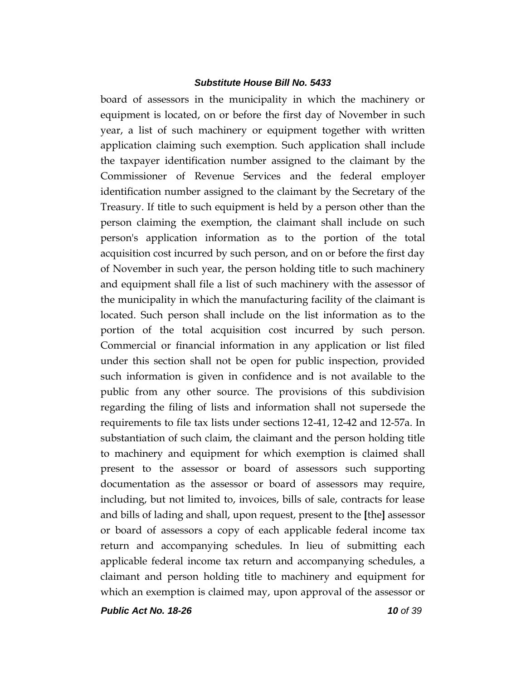board of assessors in the municipality in which the machinery or equipment is located, on or before the first day of November in such year, a list of such machinery or equipment together with written application claiming such exemption. Such application shall include the taxpayer identification number assigned to the claimant by the Commissioner of Revenue Services and the federal employer identification number assigned to the claimant by the Secretary of the Treasury. If title to such equipment is held by a person other than the person claiming the exemption, the claimant shall include on such person's application information as to the portion of the total acquisition cost incurred by such person, and on or before the first day of November in such year, the person holding title to such machinery and equipment shall file a list of such machinery with the assessor of the municipality in which the manufacturing facility of the claimant is located. Such person shall include on the list information as to the portion of the total acquisition cost incurred by such person. Commercial or financial information in any application or list filed under this section shall not be open for public inspection, provided such information is given in confidence and is not available to the public from any other source. The provisions of this subdivision regarding the filing of lists and information shall not supersede the requirements to file tax lists under sections 12-41, 12-42 and 12-57a. In substantiation of such claim, the claimant and the person holding title to machinery and equipment for which exemption is claimed shall present to the assessor or board of assessors such supporting documentation as the assessor or board of assessors may require, including, but not limited to, invoices, bills of sale, contracts for lease and bills of lading and shall, upon request, present to the **[**the**]** assessor or board of assessors a copy of each applicable federal income tax return and accompanying schedules. In lieu of submitting each applicable federal income tax return and accompanying schedules, a claimant and person holding title to machinery and equipment for which an exemption is claimed may, upon approval of the assessor or

*Public Act No. 18-26 10 of 39*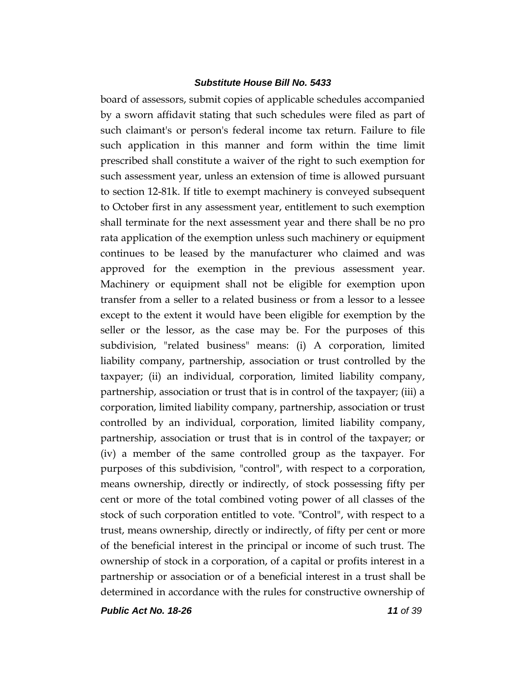board of assessors, submit copies of applicable schedules accompanied by a sworn affidavit stating that such schedules were filed as part of such claimant's or person's federal income tax return. Failure to file such application in this manner and form within the time limit prescribed shall constitute a waiver of the right to such exemption for such assessment year, unless an extension of time is allowed pursuant to section 12-81k. If title to exempt machinery is conveyed subsequent to October first in any assessment year, entitlement to such exemption shall terminate for the next assessment year and there shall be no pro rata application of the exemption unless such machinery or equipment continues to be leased by the manufacturer who claimed and was approved for the exemption in the previous assessment year. Machinery or equipment shall not be eligible for exemption upon transfer from a seller to a related business or from a lessor to a lessee except to the extent it would have been eligible for exemption by the seller or the lessor, as the case may be. For the purposes of this subdivision, "related business" means: (i) A corporation, limited liability company, partnership, association or trust controlled by the taxpayer; (ii) an individual, corporation, limited liability company, partnership, association or trust that is in control of the taxpayer; (iii) a corporation, limited liability company, partnership, association or trust controlled by an individual, corporation, limited liability company, partnership, association or trust that is in control of the taxpayer; or (iv) a member of the same controlled group as the taxpayer. For purposes of this subdivision, "control", with respect to a corporation, means ownership, directly or indirectly, of stock possessing fifty per cent or more of the total combined voting power of all classes of the stock of such corporation entitled to vote. "Control", with respect to a trust, means ownership, directly or indirectly, of fifty per cent or more of the beneficial interest in the principal or income of such trust. The ownership of stock in a corporation, of a capital or profits interest in a partnership or association or of a beneficial interest in a trust shall be determined in accordance with the rules for constructive ownership of

*Public Act No. 18-26 11 of 39*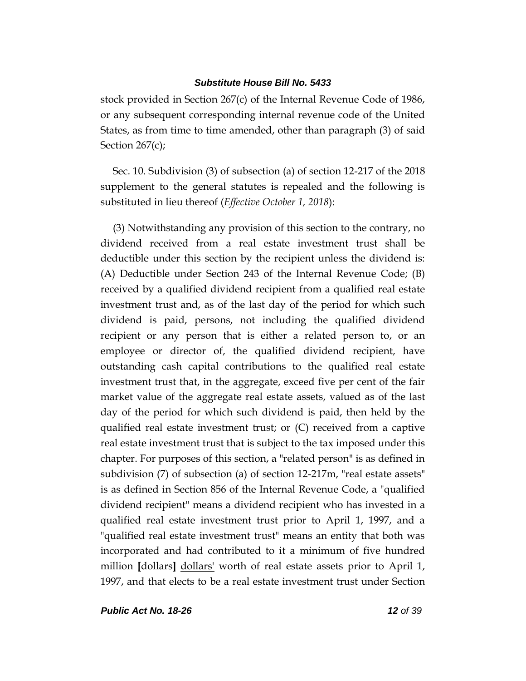stock provided in Section 267(c) of the Internal Revenue Code of 1986, or any subsequent corresponding internal revenue code of the United States, as from time to time amended, other than paragraph (3) of said Section 267(c);

Sec. 10. Subdivision (3) of subsection (a) of section 12-217 of the 2018 supplement to the general statutes is repealed and the following is substituted in lieu thereof (*Effective October 1, 2018*):

(3) Notwithstanding any provision of this section to the contrary, no dividend received from a real estate investment trust shall be deductible under this section by the recipient unless the dividend is: (A) Deductible under Section 243 of the Internal Revenue Code; (B) received by a qualified dividend recipient from a qualified real estate investment trust and, as of the last day of the period for which such dividend is paid, persons, not including the qualified dividend recipient or any person that is either a related person to, or an employee or director of, the qualified dividend recipient, have outstanding cash capital contributions to the qualified real estate investment trust that, in the aggregate, exceed five per cent of the fair market value of the aggregate real estate assets, valued as of the last day of the period for which such dividend is paid, then held by the qualified real estate investment trust; or (C) received from a captive real estate investment trust that is subject to the tax imposed under this chapter. For purposes of this section, a "related person" is as defined in subdivision (7) of subsection (a) of section 12-217m, "real estate assets" is as defined in Section 856 of the Internal Revenue Code, a "qualified dividend recipient" means a dividend recipient who has invested in a qualified real estate investment trust prior to April 1, 1997, and a "qualified real estate investment trust" means an entity that both was incorporated and had contributed to it a minimum of five hundred million **[dollars]** dollars' worth of real estate assets prior to April 1, 1997, and that elects to be a real estate investment trust under Section

*Public Act No. 18-26 12 of 39*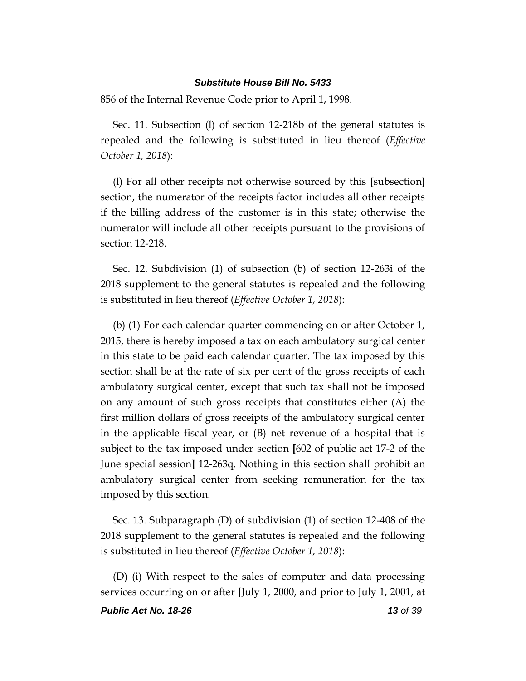856 of the Internal Revenue Code prior to April 1, 1998.

Sec. 11. Subsection (l) of section 12-218b of the general statutes is repealed and the following is substituted in lieu thereof (*Effective October 1, 2018*):

(l) For all other receipts not otherwise sourced by this **[**subsection**]** section, the numerator of the receipts factor includes all other receipts if the billing address of the customer is in this state; otherwise the numerator will include all other receipts pursuant to the provisions of section 12-218.

Sec. 12. Subdivision (1) of subsection (b) of section 12-263i of the 2018 supplement to the general statutes is repealed and the following is substituted in lieu thereof (*Effective October 1, 2018*):

(b) (1) For each calendar quarter commencing on or after October 1, 2015, there is hereby imposed a tax on each ambulatory surgical center in this state to be paid each calendar quarter. The tax imposed by this section shall be at the rate of six per cent of the gross receipts of each ambulatory surgical center, except that such tax shall not be imposed on any amount of such gross receipts that constitutes either (A) the first million dollars of gross receipts of the ambulatory surgical center in the applicable fiscal year, or (B) net revenue of a hospital that is subject to the tax imposed under section **[**602 of public act 17-2 of the June special session**]** 12-263q. Nothing in this section shall prohibit an ambulatory surgical center from seeking remuneration for the tax imposed by this section.

Sec. 13. Subparagraph (D) of subdivision (1) of section 12-408 of the 2018 supplement to the general statutes is repealed and the following is substituted in lieu thereof (*Effective October 1, 2018*):

(D) (i) With respect to the sales of computer and data processing services occurring on or after **[**July 1, 2000, and prior to July 1, 2001, at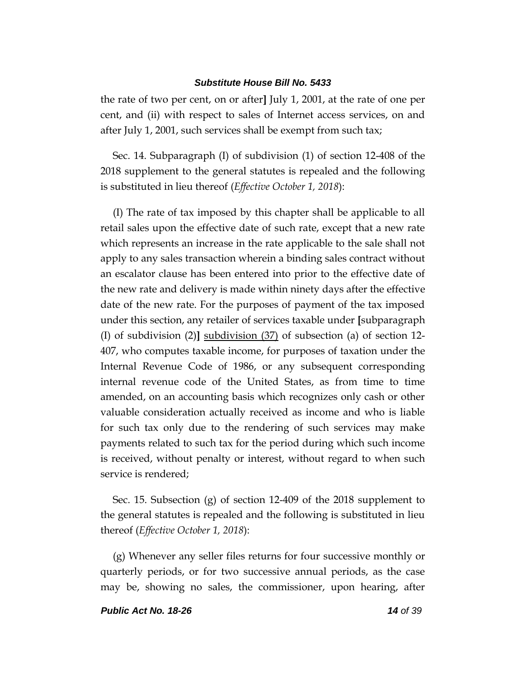the rate of two per cent, on or after**]** July 1, 2001, at the rate of one per cent, and (ii) with respect to sales of Internet access services, on and after July 1, 2001, such services shall be exempt from such tax;

Sec. 14. Subparagraph (I) of subdivision (1) of section 12-408 of the 2018 supplement to the general statutes is repealed and the following is substituted in lieu thereof (*Effective October 1, 2018*):

(I) The rate of tax imposed by this chapter shall be applicable to all retail sales upon the effective date of such rate, except that a new rate which represents an increase in the rate applicable to the sale shall not apply to any sales transaction wherein a binding sales contract without an escalator clause has been entered into prior to the effective date of the new rate and delivery is made within ninety days after the effective date of the new rate. For the purposes of payment of the tax imposed under this section, any retailer of services taxable under **[**subparagraph (I) of subdivision (2)**]** subdivision (37) of subsection (a) of section 12- 407, who computes taxable income, for purposes of taxation under the Internal Revenue Code of 1986, or any subsequent corresponding internal revenue code of the United States, as from time to time amended, on an accounting basis which recognizes only cash or other valuable consideration actually received as income and who is liable for such tax only due to the rendering of such services may make payments related to such tax for the period during which such income is received, without penalty or interest, without regard to when such service is rendered;

Sec. 15. Subsection (g) of section 12-409 of the 2018 supplement to the general statutes is repealed and the following is substituted in lieu thereof (*Effective October 1, 2018*):

(g) Whenever any seller files returns for four successive monthly or quarterly periods, or for two successive annual periods, as the case may be, showing no sales, the commissioner, upon hearing, after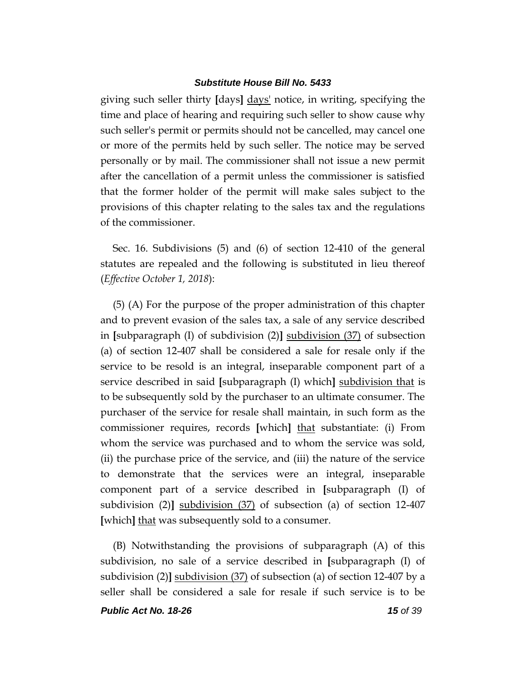giving such seller thirty **[**days**]** days' notice, in writing, specifying the time and place of hearing and requiring such seller to show cause why such seller's permit or permits should not be cancelled, may cancel one or more of the permits held by such seller. The notice may be served personally or by mail. The commissioner shall not issue a new permit after the cancellation of a permit unless the commissioner is satisfied that the former holder of the permit will make sales subject to the provisions of this chapter relating to the sales tax and the regulations of the commissioner.

Sec. 16. Subdivisions (5) and (6) of section 12-410 of the general statutes are repealed and the following is substituted in lieu thereof (*Effective October 1, 2018*):

(5) (A) For the purpose of the proper administration of this chapter and to prevent evasion of the sales tax, a sale of any service described in **[**subparagraph (I) of subdivision (2)**]** subdivision (37) of subsection (a) of section 12-407 shall be considered a sale for resale only if the service to be resold is an integral, inseparable component part of a service described in said **[**subparagraph (I) which**]** subdivision that is to be subsequently sold by the purchaser to an ultimate consumer. The purchaser of the service for resale shall maintain, in such form as the commissioner requires, records **[**which**]** that substantiate: (i) From whom the service was purchased and to whom the service was sold, (ii) the purchase price of the service, and (iii) the nature of the service to demonstrate that the services were an integral, inseparable component part of a service described in **[**subparagraph (I) of subdivision (2)**]** subdivision (37) of subsection (a) of section 12-407 **[**which**]** that was subsequently sold to a consumer.

(B) Notwithstanding the provisions of subparagraph (A) of this subdivision, no sale of a service described in **[**subparagraph (I) of subdivision (2)**]** subdivision (37) of subsection (a) of section 12-407 by a seller shall be considered a sale for resale if such service is to be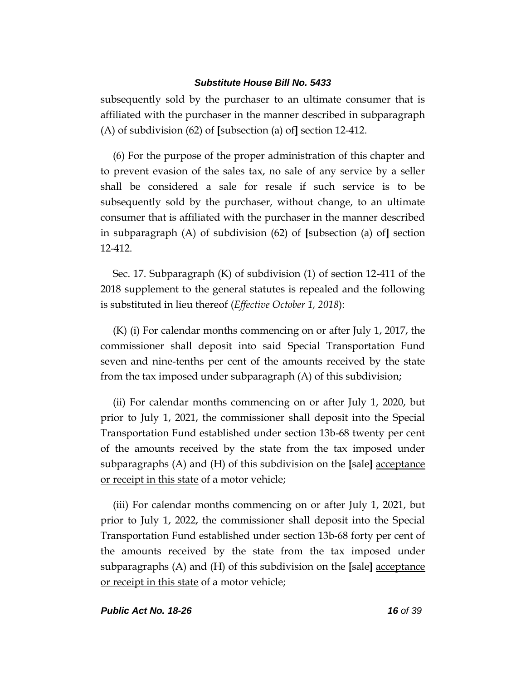subsequently sold by the purchaser to an ultimate consumer that is affiliated with the purchaser in the manner described in subparagraph (A) of subdivision (62) of **[**subsection (a) of**]** section 12-412.

(6) For the purpose of the proper administration of this chapter and to prevent evasion of the sales tax, no sale of any service by a seller shall be considered a sale for resale if such service is to be subsequently sold by the purchaser, without change, to an ultimate consumer that is affiliated with the purchaser in the manner described in subparagraph (A) of subdivision (62) of **[**subsection (a) of**]** section 12-412.

Sec. 17. Subparagraph (K) of subdivision (1) of section 12-411 of the 2018 supplement to the general statutes is repealed and the following is substituted in lieu thereof (*Effective October 1, 2018*):

(K) (i) For calendar months commencing on or after July 1, 2017, the commissioner shall deposit into said Special Transportation Fund seven and nine-tenths per cent of the amounts received by the state from the tax imposed under subparagraph (A) of this subdivision;

(ii) For calendar months commencing on or after July 1, 2020, but prior to July 1, 2021, the commissioner shall deposit into the Special Transportation Fund established under section 13b-68 twenty per cent of the amounts received by the state from the tax imposed under subparagraphs (A) and (H) of this subdivision on the **[**sale**]** acceptance or receipt in this state of a motor vehicle;

(iii) For calendar months commencing on or after July 1, 2021, but prior to July 1, 2022, the commissioner shall deposit into the Special Transportation Fund established under section 13b-68 forty per cent of the amounts received by the state from the tax imposed under subparagraphs (A) and (H) of this subdivision on the **[**sale**]** acceptance or receipt in this state of a motor vehicle;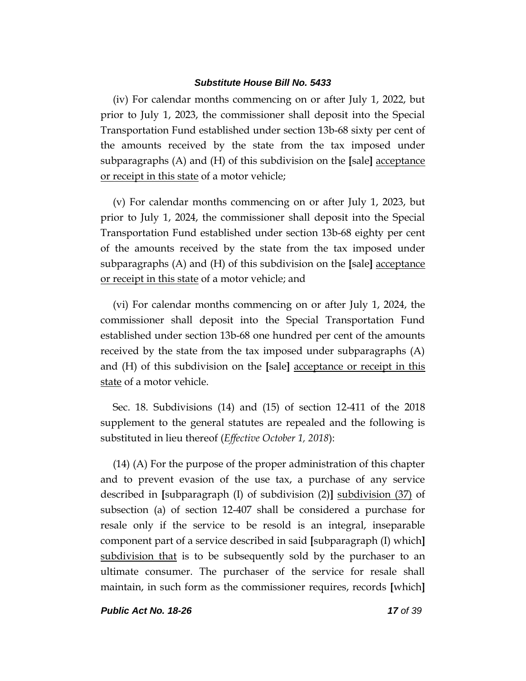(iv) For calendar months commencing on or after July 1, 2022, but prior to July 1, 2023, the commissioner shall deposit into the Special Transportation Fund established under section 13b-68 sixty per cent of the amounts received by the state from the tax imposed under subparagraphs (A) and (H) of this subdivision on the **[**sale**]** acceptance or receipt in this state of a motor vehicle;

(v) For calendar months commencing on or after July 1, 2023, but prior to July 1, 2024, the commissioner shall deposit into the Special Transportation Fund established under section 13b-68 eighty per cent of the amounts received by the state from the tax imposed under subparagraphs (A) and (H) of this subdivision on the **[**sale**]** acceptance or receipt in this state of a motor vehicle; and

(vi) For calendar months commencing on or after July 1, 2024, the commissioner shall deposit into the Special Transportation Fund established under section 13b-68 one hundred per cent of the amounts received by the state from the tax imposed under subparagraphs (A) and (H) of this subdivision on the **[**sale**]** acceptance or receipt in this state of a motor vehicle.

Sec. 18. Subdivisions (14) and (15) of section 12-411 of the 2018 supplement to the general statutes are repealed and the following is substituted in lieu thereof (*Effective October 1, 2018*):

(14) (A) For the purpose of the proper administration of this chapter and to prevent evasion of the use tax, a purchase of any service described in **[**subparagraph (I) of subdivision (2)**]** subdivision (37) of subsection (a) of section 12-407 shall be considered a purchase for resale only if the service to be resold is an integral, inseparable component part of a service described in said **[**subparagraph (I) which**]** subdivision that is to be subsequently sold by the purchaser to an ultimate consumer. The purchaser of the service for resale shall maintain, in such form as the commissioner requires, records **[**which**]**

*Public Act No. 18-26 17 of 39*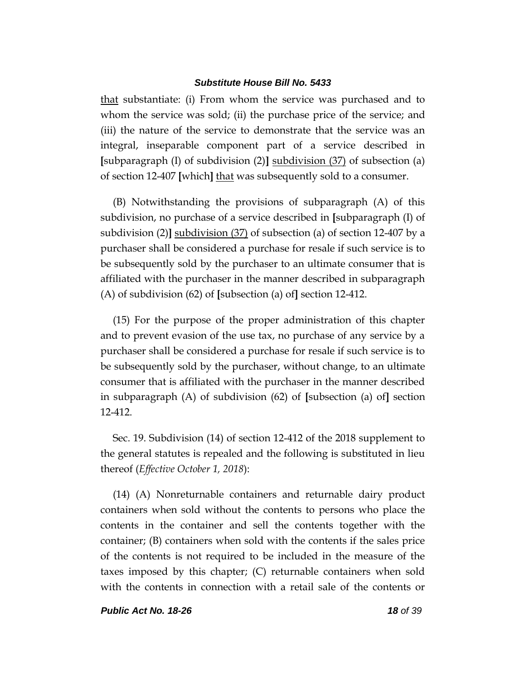that substantiate: (i) From whom the service was purchased and to whom the service was sold; (ii) the purchase price of the service; and (iii) the nature of the service to demonstrate that the service was an integral, inseparable component part of a service described in **[**subparagraph (I) of subdivision (2)**]** subdivision (37) of subsection (a) of section 12-407 **[**which**]** that was subsequently sold to a consumer.

(B) Notwithstanding the provisions of subparagraph (A) of this subdivision, no purchase of a service described in **[**subparagraph (I) of subdivision (2)**]** subdivision (37) of subsection (a) of section 12-407 by a purchaser shall be considered a purchase for resale if such service is to be subsequently sold by the purchaser to an ultimate consumer that is affiliated with the purchaser in the manner described in subparagraph (A) of subdivision (62) of **[**subsection (a) of**]** section 12-412.

(15) For the purpose of the proper administration of this chapter and to prevent evasion of the use tax, no purchase of any service by a purchaser shall be considered a purchase for resale if such service is to be subsequently sold by the purchaser, without change, to an ultimate consumer that is affiliated with the purchaser in the manner described in subparagraph (A) of subdivision (62) of **[**subsection (a) of**]** section 12-412.

Sec. 19. Subdivision (14) of section 12-412 of the 2018 supplement to the general statutes is repealed and the following is substituted in lieu thereof (*Effective October 1, 2018*):

(14) (A) Nonreturnable containers and returnable dairy product containers when sold without the contents to persons who place the contents in the container and sell the contents together with the container; (B) containers when sold with the contents if the sales price of the contents is not required to be included in the measure of the taxes imposed by this chapter; (C) returnable containers when sold with the contents in connection with a retail sale of the contents or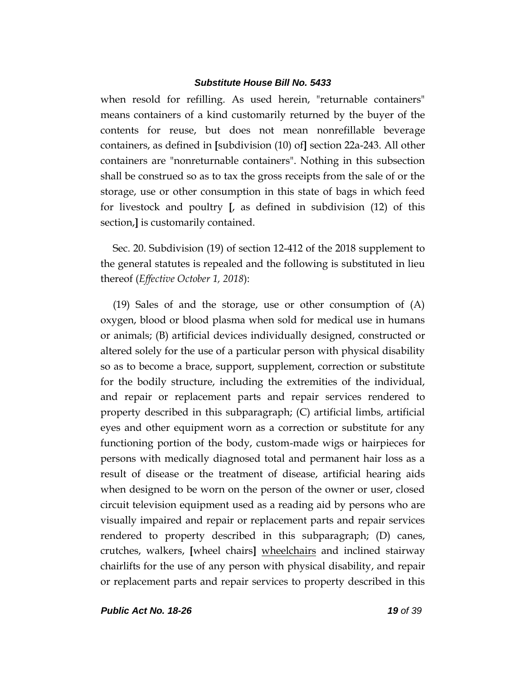when resold for refilling. As used herein, "returnable containers" means containers of a kind customarily returned by the buyer of the contents for reuse, but does not mean nonrefillable beverage containers, as defined in **[**subdivision (10) of**]** section 22a-243. All other containers are "nonreturnable containers". Nothing in this subsection shall be construed so as to tax the gross receipts from the sale of or the storage, use or other consumption in this state of bags in which feed for livestock and poultry **[**, as defined in subdivision (12) of this section,**]** is customarily contained.

Sec. 20. Subdivision (19) of section 12-412 of the 2018 supplement to the general statutes is repealed and the following is substituted in lieu thereof (*Effective October 1, 2018*):

(19) Sales of and the storage, use or other consumption of (A) oxygen, blood or blood plasma when sold for medical use in humans or animals; (B) artificial devices individually designed, constructed or altered solely for the use of a particular person with physical disability so as to become a brace, support, supplement, correction or substitute for the bodily structure, including the extremities of the individual, and repair or replacement parts and repair services rendered to property described in this subparagraph; (C) artificial limbs, artificial eyes and other equipment worn as a correction or substitute for any functioning portion of the body, custom-made wigs or hairpieces for persons with medically diagnosed total and permanent hair loss as a result of disease or the treatment of disease, artificial hearing aids when designed to be worn on the person of the owner or user, closed circuit television equipment used as a reading aid by persons who are visually impaired and repair or replacement parts and repair services rendered to property described in this subparagraph; (D) canes, crutches, walkers, **[**wheel chairs**]** wheelchairs and inclined stairway chairlifts for the use of any person with physical disability, and repair or replacement parts and repair services to property described in this

*Public Act No. 18-26 19 of 39*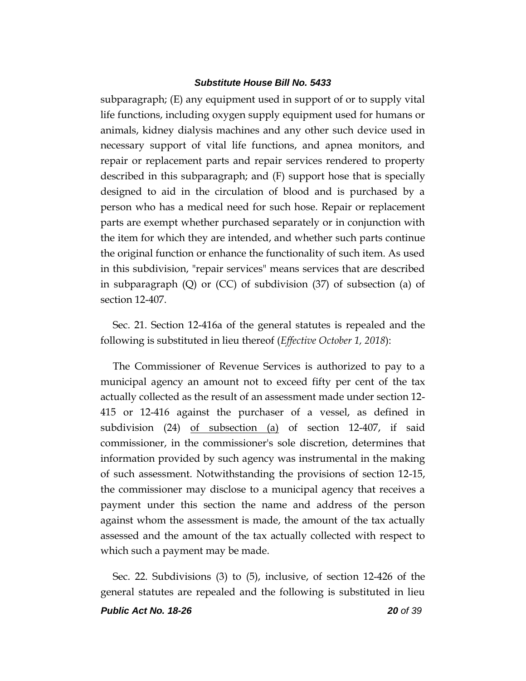subparagraph; (E) any equipment used in support of or to supply vital life functions, including oxygen supply equipment used for humans or animals, kidney dialysis machines and any other such device used in necessary support of vital life functions, and apnea monitors, and repair or replacement parts and repair services rendered to property described in this subparagraph; and (F) support hose that is specially designed to aid in the circulation of blood and is purchased by a person who has a medical need for such hose. Repair or replacement parts are exempt whether purchased separately or in conjunction with the item for which they are intended, and whether such parts continue the original function or enhance the functionality of such item. As used in this subdivision, "repair services" means services that are described in subparagraph (Q) or (CC) of subdivision (37) of subsection (a) of section 12-407.

Sec. 21. Section 12-416a of the general statutes is repealed and the following is substituted in lieu thereof (*Effective October 1, 2018*):

The Commissioner of Revenue Services is authorized to pay to a municipal agency an amount not to exceed fifty per cent of the tax actually collected as the result of an assessment made under section 12- 415 or 12-416 against the purchaser of a vessel, as defined in subdivision (24) of subsection (a) of section 12-407, if said commissioner, in the commissioner's sole discretion, determines that information provided by such agency was instrumental in the making of such assessment. Notwithstanding the provisions of section 12-15, the commissioner may disclose to a municipal agency that receives a payment under this section the name and address of the person against whom the assessment is made, the amount of the tax actually assessed and the amount of the tax actually collected with respect to which such a payment may be made.

Sec. 22. Subdivisions (3) to (5), inclusive, of section 12-426 of the general statutes are repealed and the following is substituted in lieu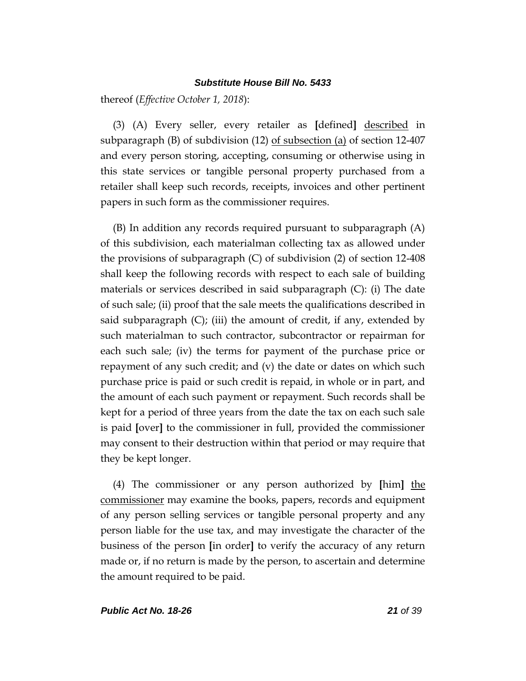thereof (*Effective October 1, 2018*):

(3) (A) Every seller, every retailer as **[**defined**]** described in subparagraph (B) of subdivision (12) <u>of subsection (a)</u> of section 12-407 and every person storing, accepting, consuming or otherwise using in this state services or tangible personal property purchased from a retailer shall keep such records, receipts, invoices and other pertinent papers in such form as the commissioner requires.

(B) In addition any records required pursuant to subparagraph (A) of this subdivision, each materialman collecting tax as allowed under the provisions of subparagraph (C) of subdivision (2) of section 12-408 shall keep the following records with respect to each sale of building materials or services described in said subparagraph (C): (i) The date of such sale; (ii) proof that the sale meets the qualifications described in said subparagraph  $(C)$ ; (iii) the amount of credit, if any, extended by such materialman to such contractor, subcontractor or repairman for each such sale; (iv) the terms for payment of the purchase price or repayment of any such credit; and (v) the date or dates on which such purchase price is paid or such credit is repaid, in whole or in part, and the amount of each such payment or repayment. Such records shall be kept for a period of three years from the date the tax on each such sale is paid **[**over**]** to the commissioner in full, provided the commissioner may consent to their destruction within that period or may require that they be kept longer.

(4) The commissioner or any person authorized by **[**him**]** the commissioner may examine the books, papers, records and equipment of any person selling services or tangible personal property and any person liable for the use tax, and may investigate the character of the business of the person **[**in order**]** to verify the accuracy of any return made or, if no return is made by the person, to ascertain and determine the amount required to be paid.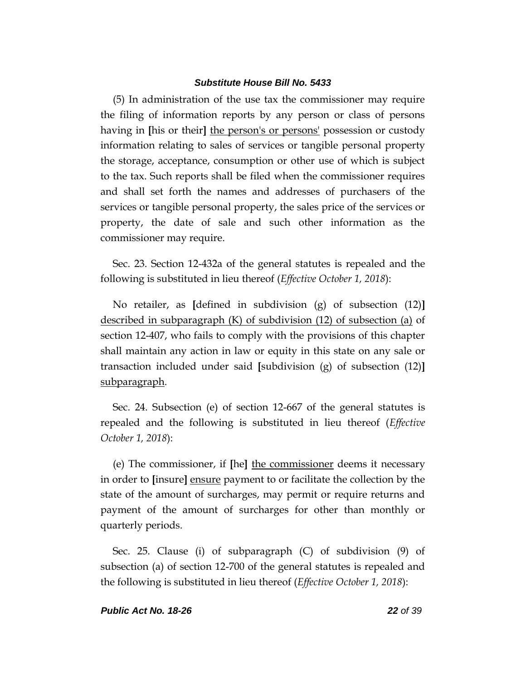(5) In administration of the use tax the commissioner may require the filing of information reports by any person or class of persons having in **[**his or their**]** the person's or persons' possession or custody information relating to sales of services or tangible personal property the storage, acceptance, consumption or other use of which is subject to the tax. Such reports shall be filed when the commissioner requires and shall set forth the names and addresses of purchasers of the services or tangible personal property, the sales price of the services or property, the date of sale and such other information as the commissioner may require.

Sec. 23. Section 12-432a of the general statutes is repealed and the following is substituted in lieu thereof (*Effective October 1, 2018*):

No retailer, as **[**defined in subdivision (g) of subsection (12)**]** described in subparagraph (K) of subdivision (12) of subsection (a) of section 12-407, who fails to comply with the provisions of this chapter shall maintain any action in law or equity in this state on any sale or transaction included under said **[**subdivision (g) of subsection (12)**]** subparagraph.

Sec. 24. Subsection (e) of section 12-667 of the general statutes is repealed and the following is substituted in lieu thereof (*Effective October 1, 2018*):

(e) The commissioner, if **[**he**]** the commissioner deems it necessary in order to **[**insure**]** ensure payment to or facilitate the collection by the state of the amount of surcharges, may permit or require returns and payment of the amount of surcharges for other than monthly or quarterly periods.

Sec. 25. Clause (i) of subparagraph (C) of subdivision (9) of subsection (a) of section 12-700 of the general statutes is repealed and the following is substituted in lieu thereof (*Effective October 1, 2018*):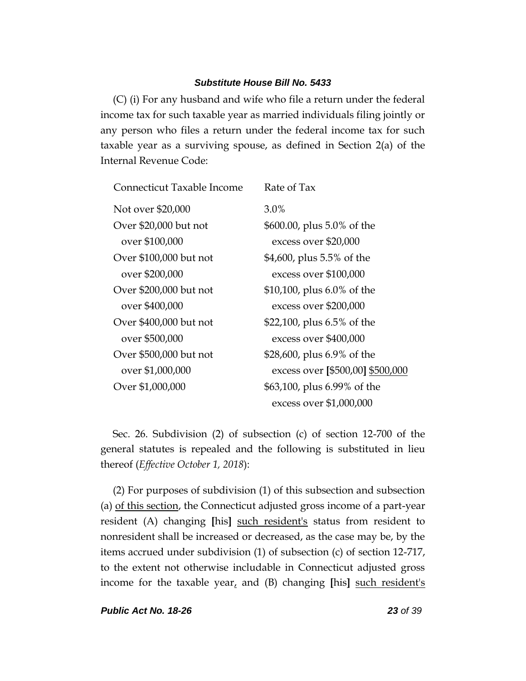(C) (i) For any husband and wife who file a return under the federal income tax for such taxable year as married individuals filing jointly or any person who files a return under the federal income tax for such taxable year as a surviving spouse, as defined in Section 2(a) of the Internal Revenue Code:

| Connecticut Taxable Income | Rate of Tax                      |
|----------------------------|----------------------------------|
| Not over \$20,000          | 3.0%                             |
| Over \$20,000 but not      | \$600.00, plus 5.0% of the       |
| over \$100,000             | excess over \$20,000             |
| Over \$100,000 but not     | \$4,600, plus 5.5% of the        |
| over \$200,000             | excess over \$100,000            |
| Over \$200,000 but not     | \$10,100, plus 6.0% of the       |
| over \$400,000             | excess over \$200,000            |
| Over \$400,000 but not     | \$22,100, plus 6.5% of the       |
| over \$500,000             | excess over \$400,000            |
| Over \$500,000 but not     | \$28,600, plus 6.9% of the       |
| over \$1,000,000           | excess over [\$500,00] \$500,000 |
| Over \$1,000,000           | \$63,100, plus 6.99% of the      |
|                            | excess over \$1,000,000          |

Sec. 26. Subdivision (2) of subsection (c) of section 12-700 of the general statutes is repealed and the following is substituted in lieu thereof (*Effective October 1, 2018*):

(2) For purposes of subdivision (1) of this subsection and subsection (a) of this section, the Connecticut adjusted gross income of a part-year resident (A) changing **[**his**]** such resident's status from resident to nonresident shall be increased or decreased, as the case may be, by the items accrued under subdivision (1) of subsection (c) of section 12-717, to the extent not otherwise includable in Connecticut adjusted gross income for the taxable year, and (B) changing **[**his**]** such resident's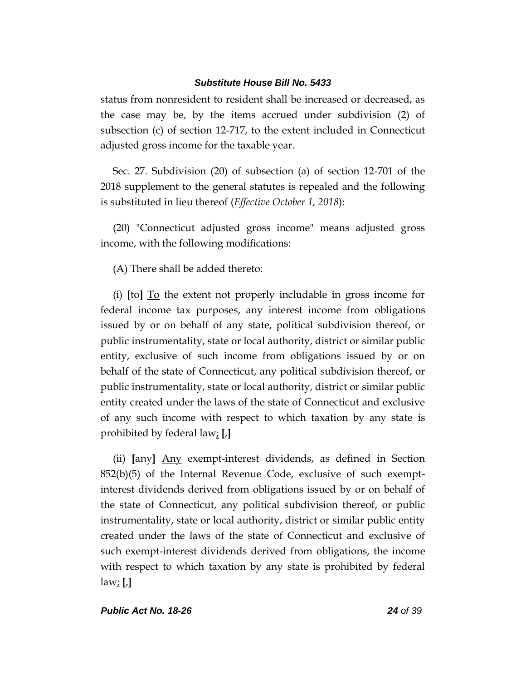status from nonresident to resident shall be increased or decreased, as the case may be, by the items accrued under subdivision (2) of subsection (c) of section 12-717, to the extent included in Connecticut adjusted gross income for the taxable year.

Sec. 27. Subdivision (20) of subsection (a) of section 12-701 of the 2018 supplement to the general statutes is repealed and the following is substituted in lieu thereof (*Effective October 1, 2018*):

(20) "Connecticut adjusted gross income" means adjusted gross income, with the following modifications:

(A) There shall be added thereto:

(i) **[**to**]** To the extent not properly includable in gross income for federal income tax purposes, any interest income from obligations issued by or on behalf of any state, political subdivision thereof, or public instrumentality, state or local authority, district or similar public entity, exclusive of such income from obligations issued by or on behalf of the state of Connecticut, any political subdivision thereof, or public instrumentality, state or local authority, district or similar public entity created under the laws of the state of Connecticut and exclusive of any such income with respect to which taxation by any state is prohibited by federal law; **[**,**]**

(ii) **[**any**]** Any exempt-interest dividends, as defined in Section 852(b)(5) of the Internal Revenue Code, exclusive of such exemptinterest dividends derived from obligations issued by or on behalf of the state of Connecticut, any political subdivision thereof, or public instrumentality, state or local authority, district or similar public entity created under the laws of the state of Connecticut and exclusive of such exempt-interest dividends derived from obligations, the income with respect to which taxation by any state is prohibited by federal law; **[**,**]**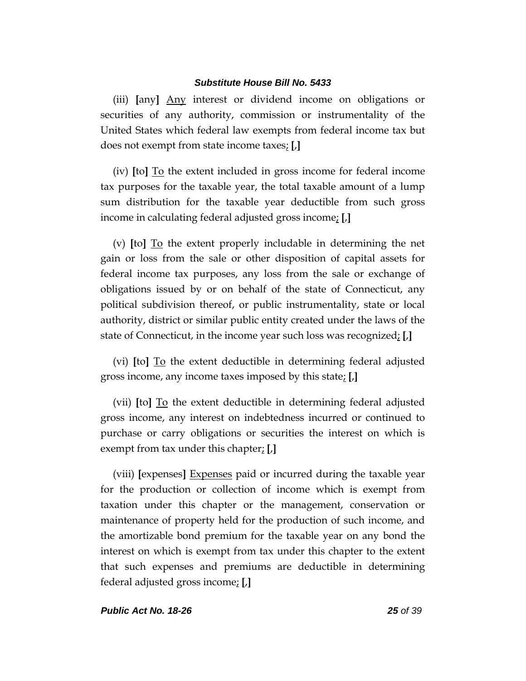(iii) **[**any**]** Any interest or dividend income on obligations or securities of any authority, commission or instrumentality of the United States which federal law exempts from federal income tax but does not exempt from state income taxes; **[**,**]**

(iv) **[**to**]** To the extent included in gross income for federal income tax purposes for the taxable year, the total taxable amount of a lump sum distribution for the taxable year deductible from such gross income in calculating federal adjusted gross income; **[**,**]**

(v) **[**to**]** To the extent properly includable in determining the net gain or loss from the sale or other disposition of capital assets for federal income tax purposes, any loss from the sale or exchange of obligations issued by or on behalf of the state of Connecticut, any political subdivision thereof, or public instrumentality, state or local authority, district or similar public entity created under the laws of the state of Connecticut, in the income year such loss was recognized; **[**,**]**

(vi) **[**to**]** To the extent deductible in determining federal adjusted gross income, any income taxes imposed by this state; **[**,**]**

(vii) **[**to**]** To the extent deductible in determining federal adjusted gross income, any interest on indebtedness incurred or continued to purchase or carry obligations or securities the interest on which is exempt from tax under this chapter; **[**,**]**

(viii) **[**expenses**]** Expenses paid or incurred during the taxable year for the production or collection of income which is exempt from taxation under this chapter or the management, conservation or maintenance of property held for the production of such income, and the amortizable bond premium for the taxable year on any bond the interest on which is exempt from tax under this chapter to the extent that such expenses and premiums are deductible in determining federal adjusted gross income; **[**,**]**

#### *Public Act No. 18-26 25 of 39*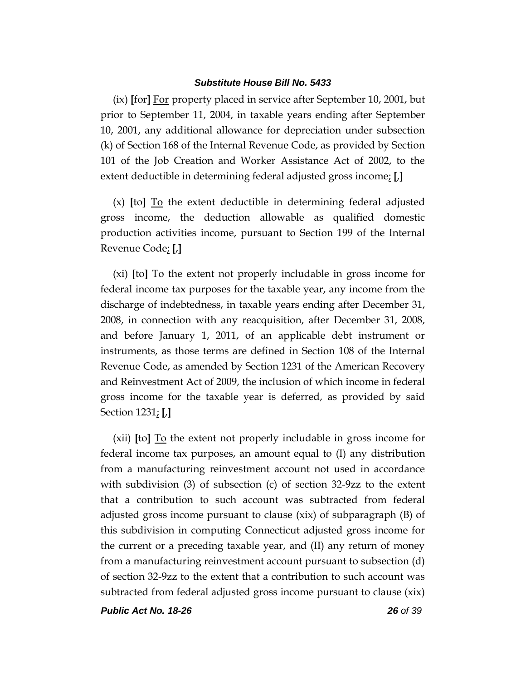(ix) **[**for**]** For property placed in service after September 10, 2001, but prior to September 11, 2004, in taxable years ending after September 10, 2001, any additional allowance for depreciation under subsection (k) of Section 168 of the Internal Revenue Code, as provided by Section 101 of the Job Creation and Worker Assistance Act of 2002, to the extent deductible in determining federal adjusted gross income; **[**,**]**

(x) **[**to**]** To the extent deductible in determining federal adjusted gross income, the deduction allowable as qualified domestic production activities income, pursuant to Section 199 of the Internal Revenue Code; **[**,**]**

(xi) **[**to**]** To the extent not properly includable in gross income for federal income tax purposes for the taxable year, any income from the discharge of indebtedness, in taxable years ending after December 31, 2008, in connection with any reacquisition, after December 31, 2008, and before January 1, 2011, of an applicable debt instrument or instruments, as those terms are defined in Section 108 of the Internal Revenue Code, as amended by Section 1231 of the American Recovery and Reinvestment Act of 2009, the inclusion of which income in federal gross income for the taxable year is deferred, as provided by said Section 1231; **[**,**]**

(xii) **[**to**]** To the extent not properly includable in gross income for federal income tax purposes, an amount equal to (I) any distribution from a manufacturing reinvestment account not used in accordance with subdivision (3) of subsection (c) of section 32-9zz to the extent that a contribution to such account was subtracted from federal adjusted gross income pursuant to clause (xix) of subparagraph (B) of this subdivision in computing Connecticut adjusted gross income for the current or a preceding taxable year, and (II) any return of money from a manufacturing reinvestment account pursuant to subsection (d) of section 32-9zz to the extent that a contribution to such account was subtracted from federal adjusted gross income pursuant to clause (xix)

*Public Act No. 18-26 26 of 39*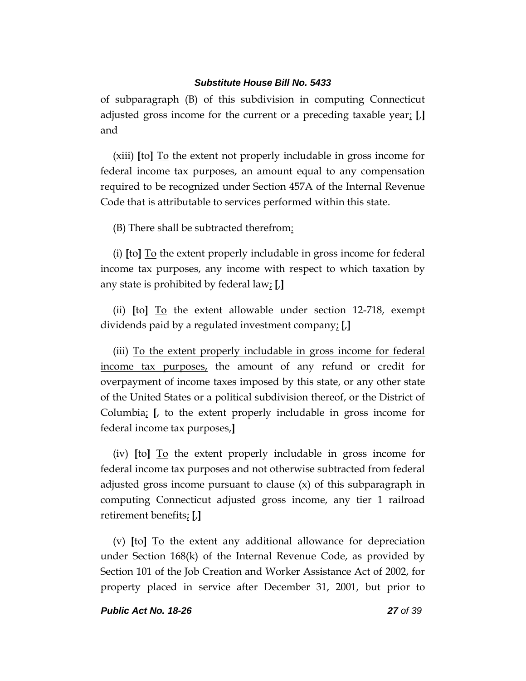of subparagraph (B) of this subdivision in computing Connecticut adjusted gross income for the current or a preceding taxable year; **[**,**]** and

(xiii) **[**to**]** To the extent not properly includable in gross income for federal income tax purposes, an amount equal to any compensation required to be recognized under Section 457A of the Internal Revenue Code that is attributable to services performed within this state.

(B) There shall be subtracted therefrom:

(i) **[**to**]** To the extent properly includable in gross income for federal income tax purposes, any income with respect to which taxation by any state is prohibited by federal law; **[**,**]**

(ii) **[**to**]** To the extent allowable under section 12-718, exempt dividends paid by a regulated investment company; **[**,**]**

(iii) To the extent properly includable in gross income for federal income tax purposes, the amount of any refund or credit for overpayment of income taxes imposed by this state, or any other state of the United States or a political subdivision thereof, or the District of Columbia; **[**, to the extent properly includable in gross income for federal income tax purposes,**]**

(iv) **[**to**]** To the extent properly includable in gross income for federal income tax purposes and not otherwise subtracted from federal adjusted gross income pursuant to clause (x) of this subparagraph in computing Connecticut adjusted gross income, any tier 1 railroad retirement benefits; **[**,**]**

(v) **[**to**]** To the extent any additional allowance for depreciation under Section 168(k) of the Internal Revenue Code, as provided by Section 101 of the Job Creation and Worker Assistance Act of 2002, for property placed in service after December 31, 2001, but prior to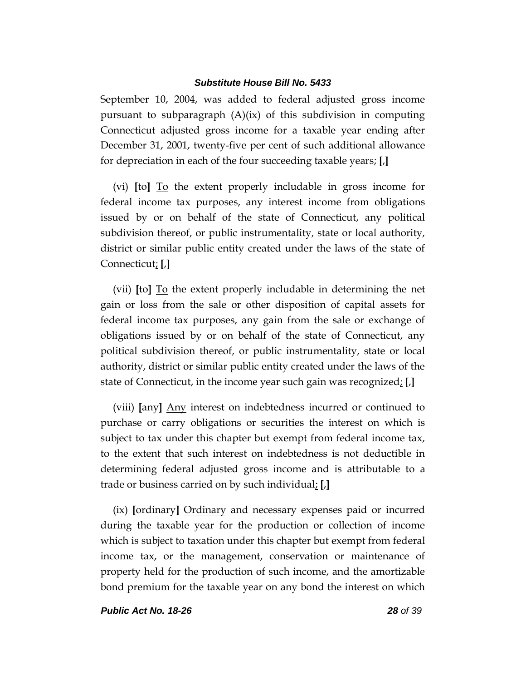September 10, 2004, was added to federal adjusted gross income pursuant to subparagraph (A)(ix) of this subdivision in computing Connecticut adjusted gross income for a taxable year ending after December 31, 2001, twenty-five per cent of such additional allowance for depreciation in each of the four succeeding taxable years; **[**,**]**

(vi) **[**to**]** To the extent properly includable in gross income for federal income tax purposes, any interest income from obligations issued by or on behalf of the state of Connecticut, any political subdivision thereof, or public instrumentality, state or local authority, district or similar public entity created under the laws of the state of Connecticut; **[**,**]**

(vii) **[**to**]** To the extent properly includable in determining the net gain or loss from the sale or other disposition of capital assets for federal income tax purposes, any gain from the sale or exchange of obligations issued by or on behalf of the state of Connecticut, any political subdivision thereof, or public instrumentality, state or local authority, district or similar public entity created under the laws of the state of Connecticut, in the income year such gain was recognized; **[**,**]**

(viii) **[**any**]** Any interest on indebtedness incurred or continued to purchase or carry obligations or securities the interest on which is subject to tax under this chapter but exempt from federal income tax, to the extent that such interest on indebtedness is not deductible in determining federal adjusted gross income and is attributable to a trade or business carried on by such individual; **[**,**]**

(ix) **[**ordinary**]** Ordinary and necessary expenses paid or incurred during the taxable year for the production or collection of income which is subject to taxation under this chapter but exempt from federal income tax, or the management, conservation or maintenance of property held for the production of such income, and the amortizable bond premium for the taxable year on any bond the interest on which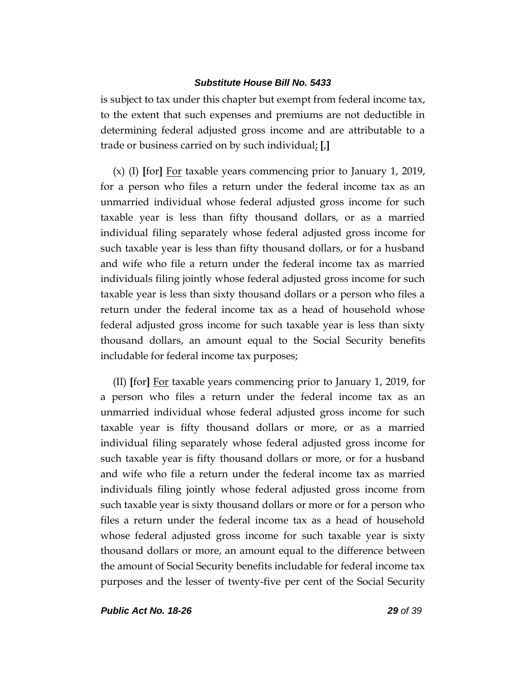is subject to tax under this chapter but exempt from federal income tax, to the extent that such expenses and premiums are not deductible in determining federal adjusted gross income and are attributable to a trade or business carried on by such individual; **[**,**]**

(x) (I) **[**for**]** For taxable years commencing prior to January 1, 2019, for a person who files a return under the federal income tax as an unmarried individual whose federal adjusted gross income for such taxable year is less than fifty thousand dollars, or as a married individual filing separately whose federal adjusted gross income for such taxable year is less than fifty thousand dollars, or for a husband and wife who file a return under the federal income tax as married individuals filing jointly whose federal adjusted gross income for such taxable year is less than sixty thousand dollars or a person who files a return under the federal income tax as a head of household whose federal adjusted gross income for such taxable year is less than sixty thousand dollars, an amount equal to the Social Security benefits includable for federal income tax purposes;

(II) **[**for**]** For taxable years commencing prior to January 1, 2019, for a person who files a return under the federal income tax as an unmarried individual whose federal adjusted gross income for such taxable year is fifty thousand dollars or more, or as a married individual filing separately whose federal adjusted gross income for such taxable year is fifty thousand dollars or more, or for a husband and wife who file a return under the federal income tax as married individuals filing jointly whose federal adjusted gross income from such taxable year is sixty thousand dollars or more or for a person who files a return under the federal income tax as a head of household whose federal adjusted gross income for such taxable year is sixty thousand dollars or more, an amount equal to the difference between the amount of Social Security benefits includable for federal income tax purposes and the lesser of twenty-five per cent of the Social Security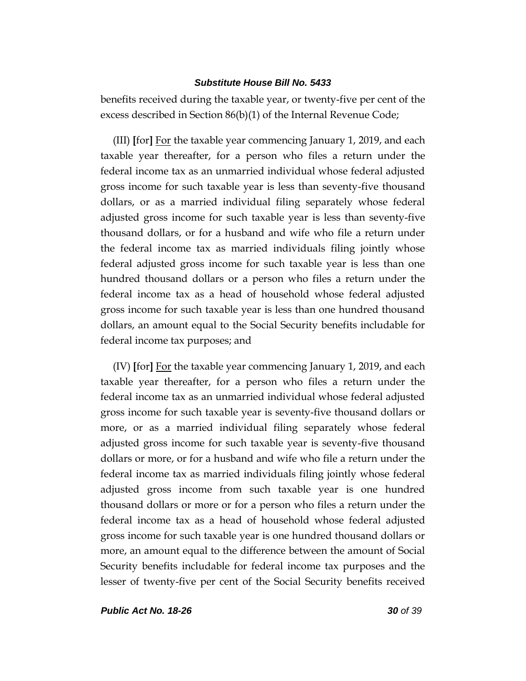benefits received during the taxable year, or twenty-five per cent of the excess described in Section 86(b)(1) of the Internal Revenue Code;

(III) **[**for**]** For the taxable year commencing January 1, 2019, and each taxable year thereafter, for a person who files a return under the federal income tax as an unmarried individual whose federal adjusted gross income for such taxable year is less than seventy-five thousand dollars, or as a married individual filing separately whose federal adjusted gross income for such taxable year is less than seventy-five thousand dollars, or for a husband and wife who file a return under the federal income tax as married individuals filing jointly whose federal adjusted gross income for such taxable year is less than one hundred thousand dollars or a person who files a return under the federal income tax as a head of household whose federal adjusted gross income for such taxable year is less than one hundred thousand dollars, an amount equal to the Social Security benefits includable for federal income tax purposes; and

(IV) **[**for**]** For the taxable year commencing January 1, 2019, and each taxable year thereafter, for a person who files a return under the federal income tax as an unmarried individual whose federal adjusted gross income for such taxable year is seventy-five thousand dollars or more, or as a married individual filing separately whose federal adjusted gross income for such taxable year is seventy-five thousand dollars or more, or for a husband and wife who file a return under the federal income tax as married individuals filing jointly whose federal adjusted gross income from such taxable year is one hundred thousand dollars or more or for a person who files a return under the federal income tax as a head of household whose federal adjusted gross income for such taxable year is one hundred thousand dollars or more, an amount equal to the difference between the amount of Social Security benefits includable for federal income tax purposes and the lesser of twenty-five per cent of the Social Security benefits received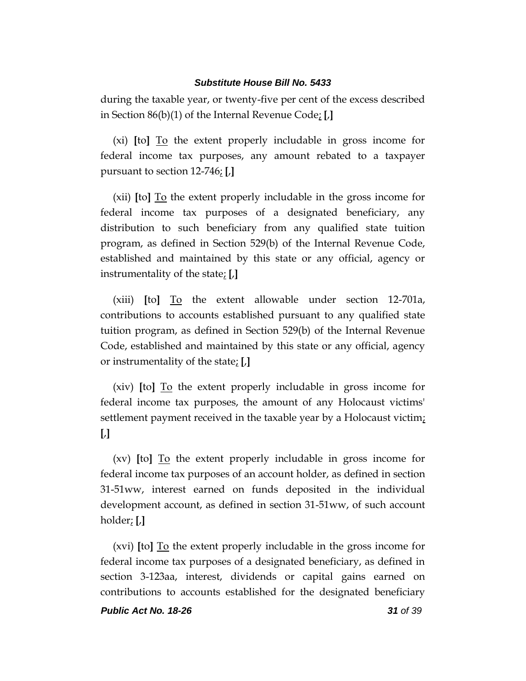during the taxable year, or twenty-five per cent of the excess described in Section 86(b)(1) of the Internal Revenue Code; **[**,**]**

(xi) **[**to**]** To the extent properly includable in gross income for federal income tax purposes, any amount rebated to a taxpayer pursuant to section 12-746; **[**,**]**

(xii) **[**to**]** To the extent properly includable in the gross income for federal income tax purposes of a designated beneficiary, any distribution to such beneficiary from any qualified state tuition program, as defined in Section 529(b) of the Internal Revenue Code, established and maintained by this state or any official, agency or instrumentality of the state; **[**,**]**

(xiii) **[**to**]** To the extent allowable under section 12-701a, contributions to accounts established pursuant to any qualified state tuition program, as defined in Section 529(b) of the Internal Revenue Code, established and maintained by this state or any official, agency or instrumentality of the state; **[**,**]**

(xiv) **[**to**]** To the extent properly includable in gross income for federal income tax purposes, the amount of any Holocaust victims' settlement payment received in the taxable year by a Holocaust victim; **[**,**]**

(xv) **[**to**]** To the extent properly includable in gross income for federal income tax purposes of an account holder, as defined in section 31-51ww, interest earned on funds deposited in the individual development account, as defined in section 31-51ww, of such account holder; **[**,**]**

(xvi) **[**to**]** To the extent properly includable in the gross income for federal income tax purposes of a designated beneficiary, as defined in section 3-123aa, interest, dividends or capital gains earned on contributions to accounts established for the designated beneficiary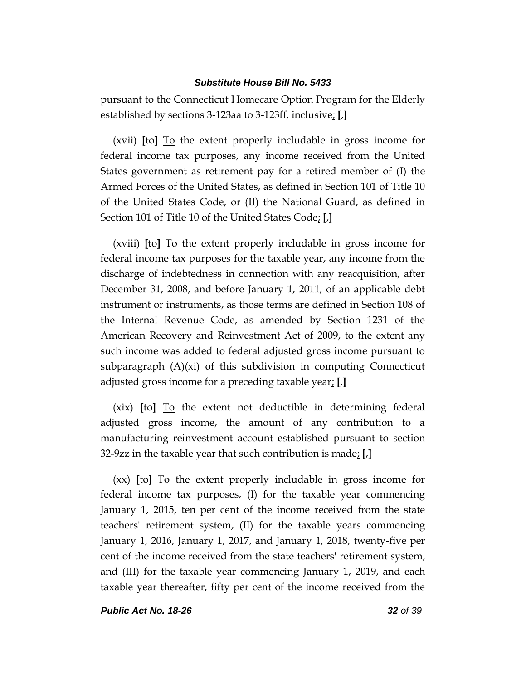pursuant to the Connecticut Homecare Option Program for the Elderly established by sections 3-123aa to 3-123ff, inclusive; **[**,**]**

(xvii) **[**to**]** To the extent properly includable in gross income for federal income tax purposes, any income received from the United States government as retirement pay for a retired member of (I) the Armed Forces of the United States, as defined in Section 101 of Title 10 of the United States Code, or (II) the National Guard, as defined in Section 101 of Title 10 of the United States Code; **[**,**]**

(xviii) **[**to**]** To the extent properly includable in gross income for federal income tax purposes for the taxable year, any income from the discharge of indebtedness in connection with any reacquisition, after December 31, 2008, and before January 1, 2011, of an applicable debt instrument or instruments, as those terms are defined in Section 108 of the Internal Revenue Code, as amended by Section 1231 of the American Recovery and Reinvestment Act of 2009, to the extent any such income was added to federal adjusted gross income pursuant to subparagraph  $(A)(xi)$  of this subdivision in computing Connecticut adjusted gross income for a preceding taxable year; **[**,**]**

(xix) **[**to**]** To the extent not deductible in determining federal adjusted gross income, the amount of any contribution to a manufacturing reinvestment account established pursuant to section 32-9zz in the taxable year that such contribution is made; **[**,**]**

(xx) **[**to**]** To the extent properly includable in gross income for federal income tax purposes, (I) for the taxable year commencing January 1, 2015, ten per cent of the income received from the state teachers' retirement system, (II) for the taxable years commencing January 1, 2016, January 1, 2017, and January 1, 2018, twenty-five per cent of the income received from the state teachers' retirement system, and (III) for the taxable year commencing January 1, 2019, and each taxable year thereafter, fifty per cent of the income received from the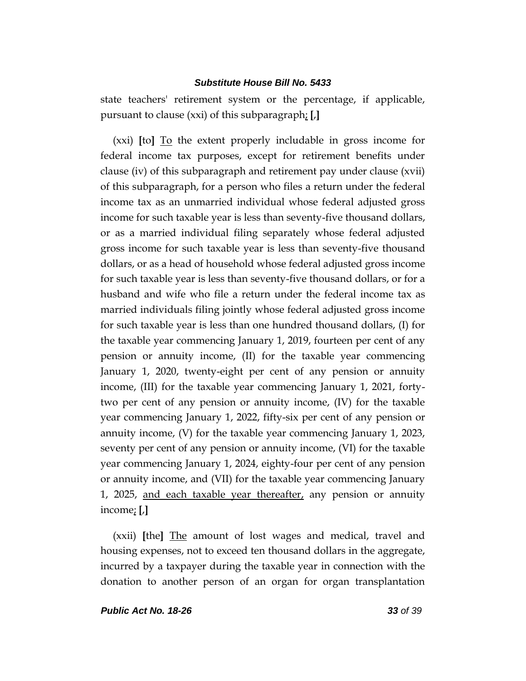state teachers' retirement system or the percentage, if applicable, pursuant to clause (xxi) of this subparagraph; **[**,**]**

(xxi) **[**to**]** To the extent properly includable in gross income for federal income tax purposes, except for retirement benefits under clause (iv) of this subparagraph and retirement pay under clause (xvii) of this subparagraph, for a person who files a return under the federal income tax as an unmarried individual whose federal adjusted gross income for such taxable year is less than seventy-five thousand dollars, or as a married individual filing separately whose federal adjusted gross income for such taxable year is less than seventy-five thousand dollars, or as a head of household whose federal adjusted gross income for such taxable year is less than seventy-five thousand dollars, or for a husband and wife who file a return under the federal income tax as married individuals filing jointly whose federal adjusted gross income for such taxable year is less than one hundred thousand dollars, (I) for the taxable year commencing January 1, 2019, fourteen per cent of any pension or annuity income, (II) for the taxable year commencing January 1, 2020, twenty-eight per cent of any pension or annuity income, (III) for the taxable year commencing January 1, 2021, fortytwo per cent of any pension or annuity income, (IV) for the taxable year commencing January 1, 2022, fifty-six per cent of any pension or annuity income, (V) for the taxable year commencing January 1, 2023, seventy per cent of any pension or annuity income, (VI) for the taxable year commencing January 1, 2024, eighty-four per cent of any pension or annuity income, and (VII) for the taxable year commencing January 1, 2025, and each taxable year thereafter, any pension or annuity income; **[**,**]**

(xxii) **[**the**]** The amount of lost wages and medical, travel and housing expenses, not to exceed ten thousand dollars in the aggregate, incurred by a taxpayer during the taxable year in connection with the donation to another person of an organ for organ transplantation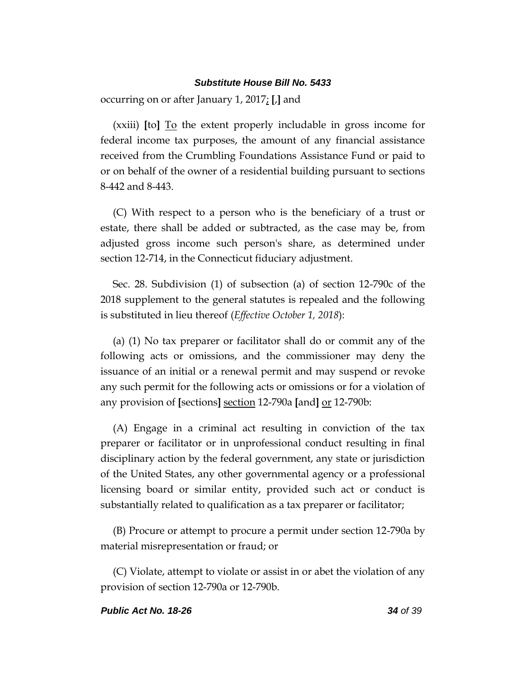occurring on or after January 1, 2017; **[**,**]** and

(xxiii) **[**to**]** To the extent properly includable in gross income for federal income tax purposes, the amount of any financial assistance received from the Crumbling Foundations Assistance Fund or paid to or on behalf of the owner of a residential building pursuant to sections 8-442 and 8-443.

(C) With respect to a person who is the beneficiary of a trust or estate, there shall be added or subtracted, as the case may be, from adjusted gross income such person's share, as determined under section 12-714, in the Connecticut fiduciary adjustment.

Sec. 28. Subdivision (1) of subsection (a) of section 12-790c of the 2018 supplement to the general statutes is repealed and the following is substituted in lieu thereof (*Effective October 1, 2018*):

(a) (1) No tax preparer or facilitator shall do or commit any of the following acts or omissions, and the commissioner may deny the issuance of an initial or a renewal permit and may suspend or revoke any such permit for the following acts or omissions or for a violation of any provision of **[**sections**]** section 12-790a **[**and**]** or 12-790b:

(A) Engage in a criminal act resulting in conviction of the tax preparer or facilitator or in unprofessional conduct resulting in final disciplinary action by the federal government, any state or jurisdiction of the United States, any other governmental agency or a professional licensing board or similar entity, provided such act or conduct is substantially related to qualification as a tax preparer or facilitator;

(B) Procure or attempt to procure a permit under section 12-790a by material misrepresentation or fraud; or

(C) Violate, attempt to violate or assist in or abet the violation of any provision of section 12-790a or 12-790b.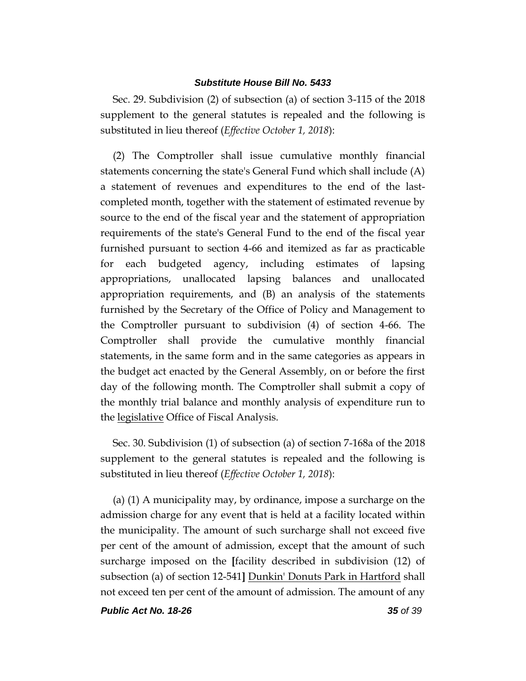Sec. 29. Subdivision (2) of subsection (a) of section 3-115 of the 2018 supplement to the general statutes is repealed and the following is substituted in lieu thereof (*Effective October 1, 2018*):

(2) The Comptroller shall issue cumulative monthly financial statements concerning the state's General Fund which shall include (A) a statement of revenues and expenditures to the end of the lastcompleted month, together with the statement of estimated revenue by source to the end of the fiscal year and the statement of appropriation requirements of the state's General Fund to the end of the fiscal year furnished pursuant to section 4-66 and itemized as far as practicable for each budgeted agency, including estimates of lapsing appropriations, unallocated lapsing balances and unallocated appropriation requirements, and (B) an analysis of the statements furnished by the Secretary of the Office of Policy and Management to the Comptroller pursuant to subdivision (4) of section 4-66. The Comptroller shall provide the cumulative monthly financial statements, in the same form and in the same categories as appears in the budget act enacted by the General Assembly, on or before the first day of the following month. The Comptroller shall submit a copy of the monthly trial balance and monthly analysis of expenditure run to the legislative Office of Fiscal Analysis.

Sec. 30. Subdivision (1) of subsection (a) of section 7-168a of the 2018 supplement to the general statutes is repealed and the following is substituted in lieu thereof (*Effective October 1, 2018*):

(a) (1) A municipality may, by ordinance, impose a surcharge on the admission charge for any event that is held at a facility located within the municipality. The amount of such surcharge shall not exceed five per cent of the amount of admission, except that the amount of such surcharge imposed on the **[**facility described in subdivision (12) of subsection (a) of section 12-541**]** Dunkin' Donuts Park in Hartford shall not exceed ten per cent of the amount of admission. The amount of any

*Public Act No. 18-26 35 of 39*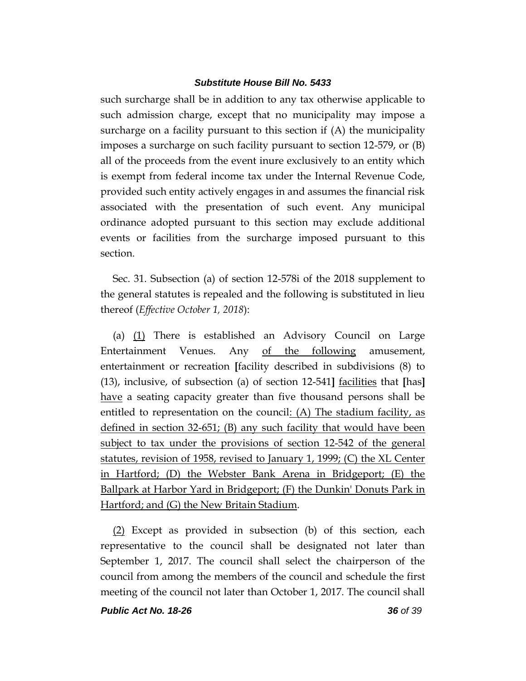such surcharge shall be in addition to any tax otherwise applicable to such admission charge, except that no municipality may impose a surcharge on a facility pursuant to this section if (A) the municipality imposes a surcharge on such facility pursuant to section 12-579, or (B) all of the proceeds from the event inure exclusively to an entity which is exempt from federal income tax under the Internal Revenue Code, provided such entity actively engages in and assumes the financial risk associated with the presentation of such event. Any municipal ordinance adopted pursuant to this section may exclude additional events or facilities from the surcharge imposed pursuant to this section.

Sec. 31. Subsection (a) of section 12-578i of the 2018 supplement to the general statutes is repealed and the following is substituted in lieu thereof (*Effective October 1, 2018*):

(a) (1) There is established an Advisory Council on Large Entertainment Venues. Any of the following amusement, entertainment or recreation **[**facility described in subdivisions (8) to (13), inclusive, of subsection (a) of section 12-541**]** facilities that **[**has**]** have a seating capacity greater than five thousand persons shall be entitled to representation on the council: (A) The stadium facility, as defined in section 32-651; (B) any such facility that would have been subject to tax under the provisions of section 12-542 of the general statutes, revision of 1958, revised to January 1, 1999; (C) the XL Center in Hartford; (D) the Webster Bank Arena in Bridgeport; (E) the Ballpark at Harbor Yard in Bridgeport; (F) the Dunkin' Donuts Park in Hartford; and (G) the New Britain Stadium.

(2) Except as provided in subsection (b) of this section, each representative to the council shall be designated not later than September 1, 2017. The council shall select the chairperson of the council from among the members of the council and schedule the first meeting of the council not later than October 1, 2017. The council shall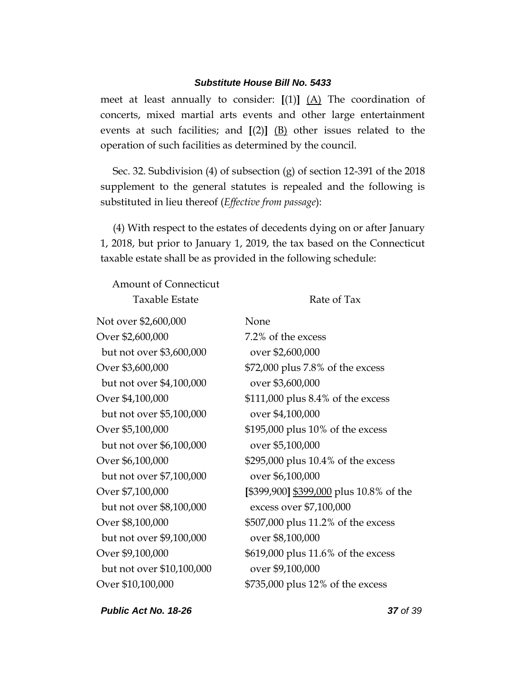meet at least annually to consider: **[**(1)**]** (A) The coordination of concerts, mixed martial arts events and other large entertainment events at such facilities; and  $[(2)]$   $(B)$  other issues related to the operation of such facilities as determined by the council.

Sec. 32. Subdivision (4) of subsection (g) of section 12-391 of the 2018 supplement to the general statutes is repealed and the following is substituted in lieu thereof (*Effective from passage*):

(4) With respect to the estates of decedents dying on or after January 1, 2018, but prior to January 1, 2019, the tax based on the Connecticut taxable estate shall be as provided in the following schedule:

Amount of Connecticut Taxable Estate Rate of Tax

| Not over \$2,600,000      | None                                    |
|---------------------------|-----------------------------------------|
| Over \$2,600,000          | 7.2% of the excess                      |
| but not over \$3,600,000  | over \$2,600,000                        |
| Over \$3,600,000          | \$72,000 plus 7.8% of the excess        |
| but not over \$4,100,000  | over \$3,600,000                        |
| Over \$4,100,000          | \$111,000 plus 8.4% of the excess       |
| but not over \$5,100,000  | over \$4,100,000                        |
| Over \$5,100,000          | \$195,000 plus 10% of the excess        |
| but not over \$6,100,000  | over \$5,100,000                        |
| Over \$6,100,000          | \$295,000 plus 10.4% of the excess      |
| but not over \$7,100,000  | over \$6,100,000                        |
| Over \$7,100,000          | [\$399,900] \$399,000 plus 10.8% of the |
| but not over \$8,100,000  | excess over \$7,100,000                 |
| Over \$8,100,000          | \$507,000 plus 11.2% of the excess      |
| but not over \$9,100,000  | over \$8,100,000                        |
| Over \$9,100,000          | \$619,000 plus 11.6% of the excess      |
| but not over \$10,100,000 | over \$9,100,000                        |
| Over \$10,100,000         | \$735,000 plus 12% of the excess        |

*Public Act No. 18-26 37 of 39*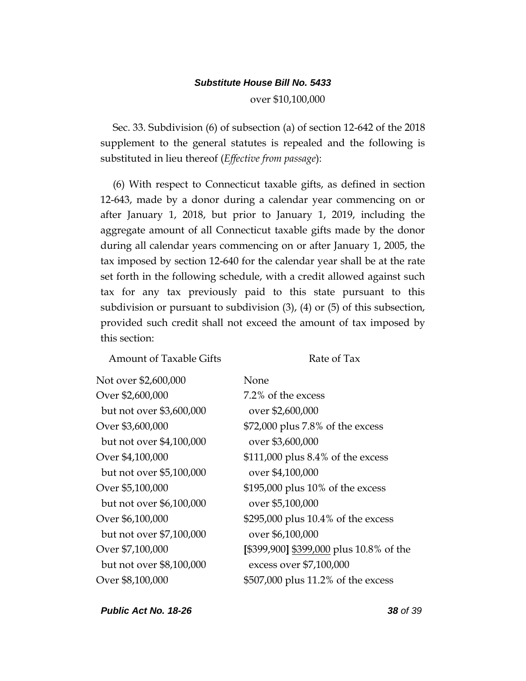over \$10,100,000

Sec. 33. Subdivision (6) of subsection (a) of section 12-642 of the 2018 supplement to the general statutes is repealed and the following is substituted in lieu thereof (*Effective from passage*):

(6) With respect to Connecticut taxable gifts, as defined in section 12-643, made by a donor during a calendar year commencing on or after January 1, 2018, but prior to January 1, 2019, including the aggregate amount of all Connecticut taxable gifts made by the donor during all calendar years commencing on or after January 1, 2005, the tax imposed by section 12-640 for the calendar year shall be at the rate set forth in the following schedule, with a credit allowed against such tax for any tax previously paid to this state pursuant to this subdivision or pursuant to subdivision (3), (4) or (5) of this subsection, provided such credit shall not exceed the amount of tax imposed by this section:

Amount of Taxable Gifts Rate of Tax

| Not over \$2,600,000     | None                                    |
|--------------------------|-----------------------------------------|
| Over \$2,600,000         | 7.2% of the excess                      |
| but not over \$3,600,000 | over \$2,600,000                        |
| Over \$3,600,000         | \$72,000 plus 7.8% of the excess        |
| but not over \$4,100,000 | over \$3,600,000                        |
| Over \$4,100,000         | $$111,000$ plus 8.4% of the excess      |
| but not over \$5,100,000 | over \$4,100,000                        |
| Over \$5,100,000         | \$195,000 plus 10% of the excess        |
| but not over \$6,100,000 | over \$5,100,000                        |
| Over \$6,100,000         | \$295,000 plus 10.4% of the excess      |
| but not over \$7,100,000 | over \$6,100,000                        |
| Over \$7,100,000         | [\$399,900] \$399,000 plus 10.8% of the |
| but not over \$8,100,000 | excess over \$7,100,000                 |
| Over \$8,100,000         | \$507,000 plus 11.2% of the excess      |

*Public Act No. 18-26 38 of 39*